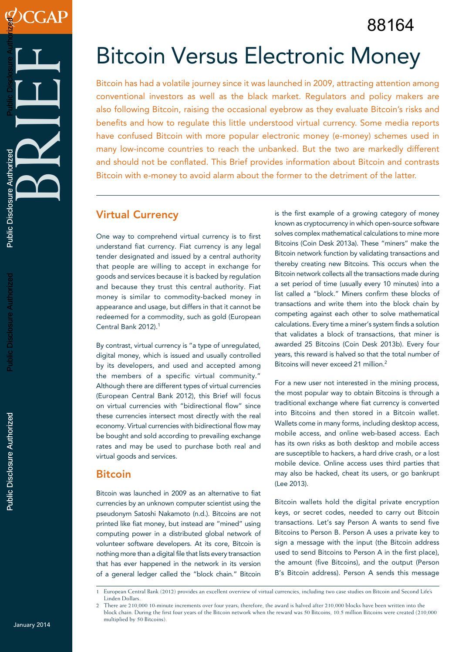88164

# Bitcoin Versus Electronic Money

Bitcoin has had a volatile journey since it was launched in 2009, attracting attention among conventional investors as well as the black market. Regulators and policy makers are also following Bitcoin, raising the occasional eyebrow as they evaluate Bitcoin's risks and benefits and how to regulate this little understood virtual currency. Some media reports have confused Bitcoin with more popular electronic money (e-money) schemes used in many low-income countries to reach the unbanked. But the two are markedly different and should not be conflated. This Brief provides information about Bitcoin and contrasts Bitcoin with e-money to avoid alarm about the former to the detriment of the latter.

## Virtual Currency

One way to comprehend virtual currency is to first understand fiat currency. Fiat currency is any legal tender designated and issued by a central authority that people are willing to accept in exchange for goods and services because it is backed by regulation and because they trust this central authority. Fiat money is similar to commodity-backed money in appearance and usage, but differs in that it cannot be redeemed for a commodity, such as gold (European Central Bank 2012).<sup>1</sup>

By contrast, virtual currency is "a type of unregulated, digital money, which is issued and usually controlled by its developers, and used and accepted among the members of a specific virtual community." Although there are different types of virtual currencies (European Central Bank 2012), this Brief will focus on virtual currencies with "bidirectional flow" since these currencies intersect most directly with the real economy. Virtual currencies with bidirectional flow may be bought and sold according to prevailing exchange rates and may be used to purchase both real and virtual goods and services.

## **Bitcoin**

Bitcoin was launched in 2009 as an alternative to fiat currencies by an unknown computer scientist using the pseudonym Satoshi Nakamoto (n.d.). Bitcoins are not printed like fiat money, but instead are "mined" using computing power in a distributed global network of volunteer software developers. At its core, Bitcoin is nothing more than a digital file that lists every transaction that has ever happened in the network in its version of a general ledger called the "block chain." Bitcoin

is the first example of a growing category of money known as cryptocurrency in which open-source software solves complex mathematical calculations to mine more Bitcoins (Coin Desk 2013a). These "miners" make the Bitcoin network function by validating transactions and thereby creating new Bitcoins. This occurs when the Bitcoin network collects all the transactions made during a set period of time (usually every 10 minutes) into a list called a "block." Miners confirm these blocks of transactions and write them into the block chain by competing against each other to solve mathematical calculations. Every time a miner's system finds a solution that validates a block of transactions, that miner is awarded 25 Bitcoins (Coin Desk 2013b). Every four years, this reward is halved so that the total number of Bitcoins will never exceed 21 million.<sup>2</sup>

For a new user not interested in the mining process, the most popular way to obtain Bitcoins is through a traditional exchange where fiat currency is converted into Bitcoins and then stored in a Bitcoin wallet. Wallets come in many forms, including desktop access, mobile access, and online web-based access. Each has its own risks as both desktop and mobile access are susceptible to hackers, a hard drive crash, or a lost mobile device. Online access uses third parties that may also be hacked, cheat its users, or go bankrupt (Lee 2013).

Bitcoin wallets hold the digital private encryption keys, or secret codes, needed to carry out Bitcoin transactions. Let's say Person A wants to send five Bitcoins to Person B. Person A uses a private key to sign a message with the input (the Bitcoin address used to send Bitcoins to Person A in the first place), the amount (five Bitcoins), and the output (Person B's Bitcoin address). Person A sends this message

<sup>1</sup> European Central Bank (2012) provides an excellent overview of virtual currencies, including two case studies on Bitcoin and Second Life's Linden Dollars.

<sup>2</sup> There are 210,000 10-minute increments over four years; therefore, the award is halved after 210,000 blocks have been written into the block chain. During the first four years of the Bitcoin network when the reward was 50 Bitcoins, 10.5 million Bitcoins were created (210,000 multiplied by 50 Bitcoins).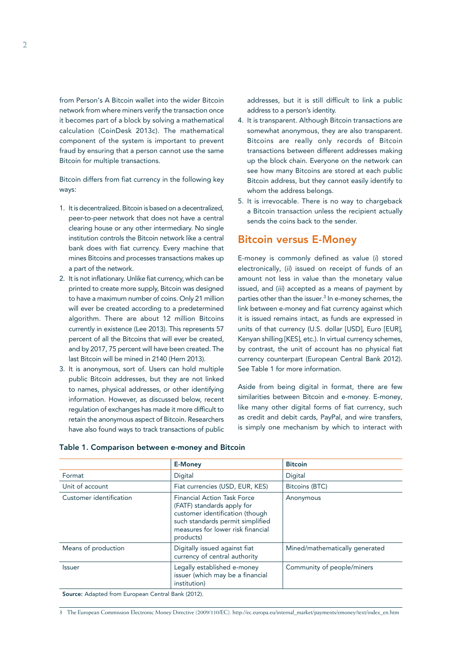from Person's A Bitcoin wallet into the wider Bitcoin network from where miners verify the transaction once it becomes part of a block by solving a mathematical calculation (CoinDesk 2013c). The mathematical component of the system is important to prevent fraud by ensuring that a person cannot use the same Bitcoin for multiple transactions.

Bitcoin differs from fiat currency in the following key ways:

- 1. It is decentralized. Bitcoin is based on a decentralized, peer-to-peer network that does not have a central clearing house or any other intermediary. No single institution controls the Bitcoin network like a central bank does with fiat currency. Every machine that mines Bitcoins and processes transactions makes up a part of the network.
- 2. It is not inflationary. Unlike fiat currency, which can be printed to create more supply, Bitcoin was designed to have a maximum number of coins. Only 21 million will ever be created according to a predetermined algorithm. There are about 12 million Bitcoins currently in existence (Lee 2013). This represents 57 percent of all the Bitcoins that will ever be created, and by 2017, 75 percent will have been created. The last Bitcoin will be mined in 2140 (Hern 2013).
- 3. It is anonymous, sort of. Users can hold multiple public Bitcoin addresses, but they are not linked to names, physical addresses, or other identifying information. However, as discussed below, recent regulation of exchanges has made it more difficult to retain the anonymous aspect of Bitcoin. Researchers have also found ways to track transactions of public

addresses, but it is still difficult to link a public address to a person's identity.

- 4. It is transparent. Although Bitcoin transactions are somewhat anonymous, they are also transparent. Bitcoins are really only records of Bitcoin transactions between different addresses making up the block chain. Everyone on the network can see how many Bitcoins are stored at each public Bitcoin address, but they cannot easily identify to whom the address belongs.
- 5. It is irrevocable. There is no way to chargeback a Bitcoin transaction unless the recipient actually sends the coins back to the sender.

### Bitcoin versus E-Money

E-money is commonly defined as value (*i*) stored electronically, (*ii*) issued on receipt of funds of an amount not less in value than the monetary value issued, and (*iii*) accepted as a means of payment by parties other than the issuer.<sup>3</sup> In e-money schemes, the link between e-money and fiat currency against which it is issued remains intact, as funds are expressed in units of that currency (U.S. dollar [USD], Euro [EUR], Kenyan shilling [KES], etc.). In virtual currency schemes, by contrast, the unit of account has no physical fiat currency counterpart (European Central Bank 2012). See Table 1 for more information.

Aside from being digital in format, there are few similarities between Bitcoin and e-money. E-money, like many other digital forms of fiat currency, such as credit and debit cards, PayPal, and wire transfers, is simply one mechanism by which to interact with

|                                             | <b>E-Money</b>                                                                                                                                                                            | <b>Bitcoin</b>                 |
|---------------------------------------------|-------------------------------------------------------------------------------------------------------------------------------------------------------------------------------------------|--------------------------------|
| Format                                      | Digital                                                                                                                                                                                   | Digital                        |
| Unit of account                             | Fiat currencies (USD, EUR, KES)                                                                                                                                                           | Bitcoins (BTC)                 |
| Customer identification                     | <b>Financial Action Task Force</b><br>(FATF) standards apply for<br>customer identification (though<br>such standards permit simplified<br>measures for lower risk financial<br>products) | Anonymous                      |
| Means of production                         | Digitally issued against fiat<br>currency of central authority                                                                                                                            | Mined/mathematically generated |
| <b>Issuer</b>                               | Legally established e-money<br>issuer (which may be a financial<br>institution)                                                                                                           | Community of people/miners     |
| $\sigma$ at the $\sigma$ , in the $(20.40)$ |                                                                                                                                                                                           |                                |

#### Table 1. Comparison between e-money and Bitcoin

Source: Adapted from European Central Bank (2012).

3 The European Commission Electronic Money Directive (2009/110/EC). http://ec.europa.eu/internal\_market/payments/emoney/text/index\_en.htm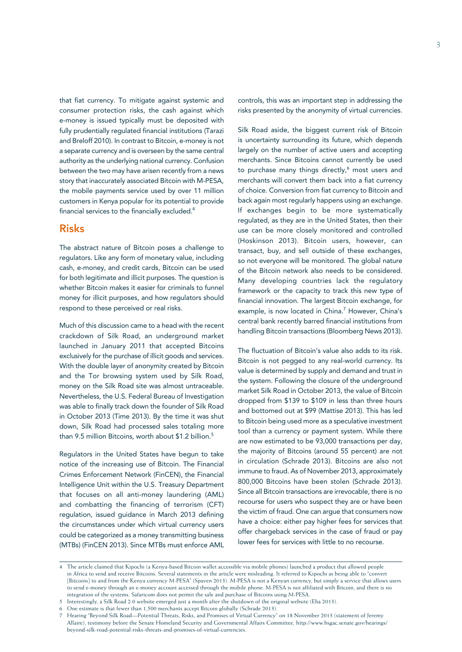that fiat currency. To mitigate against systemic and consumer protection risks, the cash against which e-money is issued typically must be deposited with fully prudentially regulated financial institutions (Tarazi and Breloff 2010). In contrast to Bitcoin, e-money is not a separate currency and is overseen by the same central authority as the underlying national currency. Confusion between the two may have arisen recently from a news story that inaccurately associated Bitcoin with M-PESA, the mobile payments service used by over 11 million customers in Kenya popular for its potential to provide financial services to the financially excluded.<sup>4</sup>

### Risks

The abstract nature of Bitcoin poses a challenge to regulators. Like any form of monetary value, including cash, e-money, and credit cards, Bitcoin can be used for both legitimate and illicit purposes. The question is whether Bitcoin makes it easier for criminals to funnel money for illicit purposes, and how regulators should respond to these perceived or real risks.

Much of this discussion came to a head with the recent crackdown of Silk Road, an underground market launched in January 2011 that accepted Bitcoins exclusively for the purchase of illicit goods and services. With the double layer of anonymity created by Bitcoin and the Tor browsing system used by Silk Road, money on the Silk Road site was almost untraceable. Nevertheless, the U.S. Federal Bureau of Investigation was able to finally track down the founder of Silk Road in October 2013 (Time 2013). By the time it was shut down, Silk Road had processed sales totaling more than 9.5 million Bitcoins, worth about \$1.2 billion.<sup>5</sup>

Regulators in the United States have begun to take notice of the increasing use of Bitcoin. The Financial Crimes Enforcement Network (FinCEN), the Financial Intelligence Unit within the U.S. Treasury Department that focuses on all anti-money laundering (AML) and combatting the financing of terrorism (CFT) regulation, issued guidance in March 2013 defining the circumstances under which virtual currency users could be categorized as a money transmitting business (MTBs) (FinCEN 2013). Since MTBs must enforce AML

controls, this was an important step in addressing the risks presented by the anonymity of virtual currencies.

Silk Road aside, the biggest current risk of Bitcoin is uncertainty surrounding its future, which depends largely on the number of active users and accepting merchants. Since Bitcoins cannot currently be used to purchase many things directly,<sup>6</sup> most users and merchants will convert them back into a fiat currency of choice. Conversion from fiat currency to Bitcoin and back again most regularly happens using an exchange. If exchanges begin to be more systematically regulated, as they are in the United States, then their use can be more closely monitored and controlled (Hoskinson 2013). Bitcoin users, however, can transact, buy, and sell outside of these exchanges, so not everyone will be monitored. The global nature of the Bitcoin network also needs to be considered. Many developing countries lack the regulatory framework or the capacity to track this new type of financial innovation. The largest Bitcoin exchange, for example, is now located in China.<sup>7</sup> However, China's central bank recently barred financial institutions from handling Bitcoin transactions (Bloomberg News 2013).

The fluctuation of Bitcoin's value also adds to its risk. Bitcoin is not pegged to any real-world currency. Its value is determined by supply and demand and trust in the system. Following the closure of the underground market Silk Road in October 2013, the value of Bitcoin dropped from \$139 to \$109 in less than three hours and bottomed out at \$99 (Mattise 2013). This has led to Bitcoin being used more as a speculative investment tool than a currency or payment system. While there are now estimated to be 93,000 transactions per day, the majority of Bitcoins (around 55 percent) are not in circulation (Schrade 2013). Bitcoins are also not immune to fraud. As of November 2013, approximately 800,000 Bitcoins have been stolen (Schrade 2013). Since all Bitcoin transactions are irrevocable, there is no recourse for users who suspect they are or have been the victim of fraud. One can argue that consumers now have a choice: either pay higher fees for services that offer chargeback services in the case of fraud or pay lower fees for services with little to no recourse.

<sup>4</sup> The article claimed that Kipochi (a Kenya-based Bitcoin wallet accessible via mobile phones) launched a product that allowed people in Africa to send and receive Bitcoins. Several statements in the article were misleading. It referred to Kipochi as being able to "convert [Bitcoins] to and from the Kenya currency M-PESA" (Spaven 2013). M-PESA is not a Kenyan currency, but simply a service that allows users to send e-money through an e-money account accessed through the mobile phone. M-PESA is not affiliated with Bitcoin, and there is no integration of the systems. Safaricom does not permit the sale and purchase of Bitcoins using M-PESA.

<sup>5</sup> Interestingly, a Silk Road 2.0 website emerged just a month after the shutdown of the original website (Eha 2013).

<sup>6</sup> One estimate is that fewer than 1,500 merchants accept Bitcoin globally (Schrade 2013).

<sup>7</sup> Hearing "Beyond Silk Road—Potential Threats, Risks, and Promises of Virtual Currency" on 18 November 2013 (statement of Jeremy Allaire), testimony before the Senate Homeland Security and Governmental Affairs Committee, http://www.hsgac.senate.gov/hearings/ beyond-silk-road-potential-risks-threats-and-promises-of-virtual-currencies.